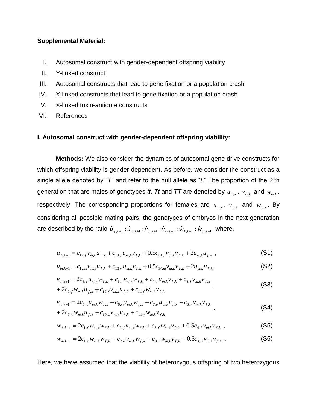# **Supplemental Material:**

- I. Autosomal construct with gender-dependent offspring viability
- II. Y-linked construct
- III. Autosomal constructs that lead to gene fixation or a population crash
- IV. X-linked constructs that lead to gene fixation or a population crash
- V. X-linked toxin-antidote constructs
- VI. References

## **I. Autosomal construct with gender-dependent offspring viability:**

**Methods:** We also consider the dynamics of autosomal gene drive constructs for which offspring viability is gender-dependent. As before, we consider the construct as a single allele denoted by "*T*" and refer to the null allele as "*t*." The proportion of the *k* th generation that are males of genotypes *tt*, *Tt* and *TT* are denoted by  $u_{m,k}$  ,  $v_{m,k}$  and  $w_{m,k}$  , respectively. The corresponding proportions for females are  $u_{f,k}$ ,  $v_{f,k}$  and  $w_{f,k}$ . By considering all possible mating pairs, the genotypes of embryos in the next generation are described by the ratio  $\hat{u}_{f,k+1}$  :  $\hat{u}_{m,k+1}$  :  $\hat{\nu}_{f,k+1}$  :  $\hat{\nu}_{m,k+1}$  :  $\hat{w}_{f,k+1}$  :  $\hat{w}_{m,k+1}$  , where,

$$
u_{f,k+1} = c_{12,f} v_{m,k} u_{f,k} + c_{13,f} u_{m,k} v_{f,k} + 0.5 c_{14,f} v_{m,k} v_{f,k} + 2 u_{m,k} u_{f,k} , \qquad (S1)
$$

$$
u_{m,k+1} = c_{12,m} v_{m,k} u_{f,k} + c_{13,m} u_{m,k} v_{f,k} + 0.5 c_{14,m} v_{m,k} v_{f,k} + 2 u_{m,k} u_{f,k} ,
$$
 (S2)

$$
v_{f,k+1} = 2c_{5,f}u_{m,k}w_{f,k} + c_{6,f}v_{m,k}w_{f,k} + c_{7,f}u_{m,k}v_{f,k} + c_{8,f}v_{m,k}v_{f,k} + 2c_{9,f}w_{m,k}u_{f,k} + c_{10,f}v_{m,k}u_{f,k} + c_{11,f}w_{m,k}v_{f,k}
$$
\n(S3)

$$
v_{m,k+1} = 2c_{5,m}u_{m,k}w_{f,k} + c_{6,m}v_{m,k}w_{f,k} + c_{7,m}u_{m,k}v_{f,k} + c_{8,m}v_{m,k}v_{f,k} + 2c_{9,m}w_{m,k}u_{f,k} + c_{10,m}v_{m,k}u_{f,k} + c_{11,m}w_{m,k}v_{f,k}
$$
\n(S4)

$$
w_{f,k+1} = 2c_{1,f}w_{m,k}w_{f,k} + c_{2,f}w_{m,k}w_{f,k} + c_{3,f}w_{m,k}v_{f,k} + 0.5c_{4,f}w_{m,k}v_{f,k} ,
$$
 (S5)

$$
w_{m,k+1} = 2c_{1,m}w_{m,k}w_{f,k} + c_{2,m}v_{m,k}w_{f,k} + c_{3,m}w_{m,k}v_{f,k} + 0.5c_{4,m}v_{m,k}v_{f,k} \tag{S6}
$$

Here, we have assumed that the viability of heterozygous offspring of two heterozygous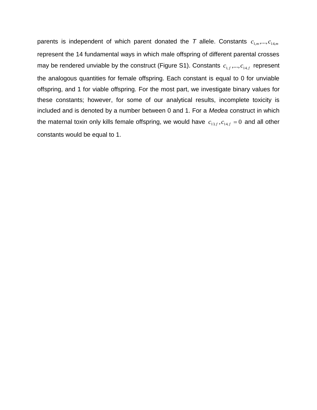parents is independent of which parent donated the T allele. Constants  $c_{1,m},...,c_{14,m}$ represent the 14 fundamental ways in which male offspring of different parental crosses may be rendered unviable by the construct (Figure S1). Constants  $c_{1,f},...,c_{14,f}$  represent the analogous quantities for female offspring. Each constant is equal to 0 for unviable offspring, and 1 for viable offspring. For the most part, we investigate binary values for these constants; however, for some of our analytical results, incomplete toxicity is included and is denoted by a number between 0 and 1. For a *Medea* construct in which the maternal toxin only kills female offspring, we would have  $c_{13,f}, c_{14,f} = 0$  and all other constants would be equal to 1.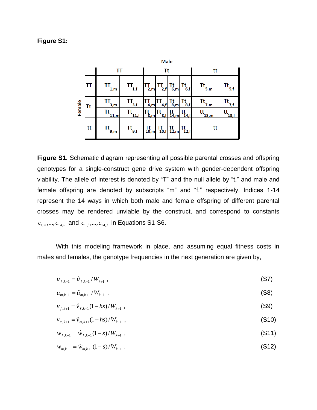### **Figure S1:**

|        | Male      |                                       |                                       |                                                                                      |                             |                                                                 |                                               |                        |                                                        |
|--------|-----------|---------------------------------------|---------------------------------------|--------------------------------------------------------------------------------------|-----------------------------|-----------------------------------------------------------------|-----------------------------------------------|------------------------|--------------------------------------------------------|
|        |           | ΤT                                    |                                       | Τt                                                                                   |                             |                                                                 |                                               | tt                     |                                                        |
| Female | ΤT        | ТT<br>1,m                             | $\mathbf{H}_{\mathbf{1,f}}$           | $\prod_{2,m}$                                                                        | $\mathsf{T}_{2,\mathsf{f}}$ | $T_{6,m}$                                                       | $T_{6,f}$                                     | $\mathsf{Tt}_{_{5,m}}$ | $\mathsf{It}_{\mathsf{5,f}}$                           |
|        | <b>Tt</b> | $T_{\frac{3,m}{}}$                    | $T_{\frac{3}{1}}$                     | 4 <sub>m</sub>                                                                       | 4, f                        | $T_{8,m}^t$                                                     | $T_{\underline{8},\underline{f}}$             | $\frac{m}{2m}$         | $\frac{dt}{dt}$                                        |
|        |           | Tt<br>11,m                            | 11,f                                  | $\mathbf{\ddot{8},m}$                                                                | 8, f                        | tt<br>14,m                                                      | $\frac{\mathsf{t} \mathsf{t}}{14,\mathsf{f}}$ | tt<br>13,m             | $\mathsf{t} \mathsf{t}_{\underline{13},\underline{t}}$ |
|        | tt        | $\mathsf{It}_{\mathsf{g},\mathsf{m}}$ | $\mathsf{It}_{\mathsf{g},\mathsf{f}}$ | $\left  \begin{array}{c} \mathsf{Tt} \\ \mathsf{10}, \mathsf{m} \end{array} \right $ | $T_{10,f}$                  | $\begin{array}{c} \text{tt} \\ \text{12}, \text{m} \end{array}$ | $\mathfrak{t}^{\mathsf{t}}_{12,\mathsf{f}}$   | tt                     |                                                        |

**Figure S1.** Schematic diagram representing all possible parental crosses and offspring genotypes for a single-construct gene drive system with gender-dependent offspring viability. The allele of interest is denoted by "T" and the null allele by "t," and male and female offspring are denoted by subscripts "m" and "f," respectively. Indices 1-14 represent the 14 ways in which both male and female offspring of different parental crosses may be rendered unviable by the construct, and correspond to constants  $c_{1,m},...,c_{14,m}$  and  $c_{1,f},...,c_{14,f}$  in Equations S1-S6.

With this modeling framework in place, and assuming equal fitness costs in males and females, the genotype frequencies in the next generation are given by,

$$
u_{f,k+1} = \hat{u}_{f,k+1} / W_{k+1} \tag{S7}
$$

$$
u_{m,k+1} = \hat{u}_{m,k+1} / W_{k+1} \tag{S8}
$$

$$
v_{f,k+1} = \hat{v}_{f,k+1}(1-hs)/W_{k+1} \t{.} \t(S9)
$$

$$
v_{m,k+1} = \hat{v}_{m,k+1}(1 - hs) / W_{k+1} \tag{S10}
$$

$$
w_{f,k+1} = \hat{w}_{f,k+1}(1-s)/W_{k+1} \t{,} \t(511)
$$

 $w_{m,k+1} = \hat{w}_{m,k+1} (1-s) / W_{k+1}$ . (S12)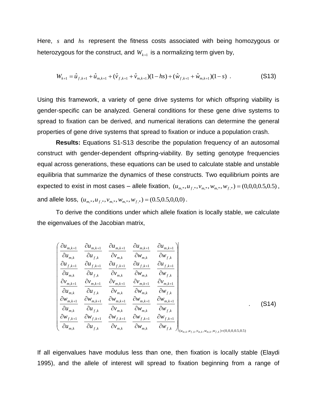Here, s and hs represent the fitness costs associated with being homozygous or heterozygous for the construct, and  $W_{\scriptscriptstyle k+1}$  is a normalizing term given by,

$$
W_{k+1} = \hat{u}_{f,k+1} + \hat{u}_{m,k+1} + (\hat{v}_{f,k+1} + \hat{v}_{m,k+1})(1 - hs) + (\hat{w}_{f,k+1} + \hat{w}_{m,k+1})(1 - s) \tag{S13}
$$

Using this framework, a variety of gene drive systems for which offspring viability is gender-specific can be analyzed. General conditions for these gene drive systems to spread to fixation can be derived, and numerical iterations can determine the general properties of gene drive systems that spread to fixation or induce a population crash.

**Results:** Equations S1-S13 describe the population frequency of an autosomal construct with gender-dependent offspring-viability. By setting genotype frequencies equal across generations, these equations can be used to calculate stable and unstable equilibria that summarize the dynamics of these constructs. Two equilibrium points are expected to exist in most cases – allele fixation,  $(u_{m,*}, u_{f,*}, v_{m,*}, w_{m,*}, w_{f,*}) = (0,0,0,0.5,0.5)$ , and allele loss,  $(u_{m,*}, u_{f,*}, v_{m,*}, w_{m,*}, w_{f,*}) = (0.5, 0.5, 0.0, 0)$ .

To derive the conditions under which allele fixation is locally stable, we calculate the eigenvalues of the Jacobian matrix,

$$
\begin{bmatrix}\n\frac{\partial u_{m,k+1}}{\partial u_{m,k}} & \frac{\partial u_{m,k+1}}{\partial u_{f,k}} & \frac{\partial u_{m,k+1}}{\partial v_{m,k}} & \frac{\partial u_{m,k+1}}{\partial w_{m,k}} & \frac{\partial u_{m,k+1}}{\partial w_{f,k}} \\
\frac{\partial u_{f,k+1}}{\partial u_{m,k}} & \frac{\partial u_{f,k+1}}{\partial u_{f,k}} & \frac{\partial u_{f,k+1}}{\partial v_{m,k}} & \frac{\partial u_{f,k+1}}{\partial w_{m,k}} & \frac{\partial u_{f,k+1}}{\partial w_{f,k}} \\
\frac{\partial v_{m,k+1}}{\partial u_{m,k}} & \frac{\partial v_{m,k+1}}{\partial u_{f,k}} & \frac{\partial v_{m,k+1}}{\partial v_{m,k}} & \frac{\partial v_{m,k+1}}{\partial w_{m,k}} & \frac{\partial v_{m,k+1}}{\partial w_{f,k}} \\
\frac{\partial w_{m,k+1}}{\partial u_{m,k}} & \frac{\partial w_{m,k+1}}{\partial u_{f,k}} & \frac{\partial w_{m,k+1}}{\partial w_{m,k}} & \frac{\partial w_{m,k+1}}{\partial w_{m,k}} & \frac{\partial w_{m,k+1}}{\partial w_{f,k}} \\
\frac{\partial w_{m,k+1}}{\partial u_{m,k}} & \frac{\partial w_{f,k+1}}{\partial u_{f,k}} & \frac{\partial w_{f,k+1}}{\partial w_{m,k}} & \frac{\partial w_{f,k+1}}{\partial w_{f,k}} & \frac{\partial w_{f,k+1}}{\partial w_{f,k}} \\
\frac{\partial w_{f,k+1}}{\partial u_{m,k}} & \frac{\partial w_{f,k+1}}{\partial u_{f,k}} & \frac{\partial w_{f,k+1}}{\partial w_{m,k}} & \frac{\partial w_{f,k+1}}{\partial w_{f,k}} & \frac{\partial w_{f,k}}{\partial w_{f,k}}\n\end{bmatrix}_{(u_{m,k}, u_{f,k}, v_{m,k}, w_{m,k}, w_{f,k})=(0,0,0,0.5,0.5)}
$$
\n(514)

If all eigenvalues have modulus less than one, then fixation is locally stable (Elaydi 1995), and the allele of interest will spread to fixation beginning from a range of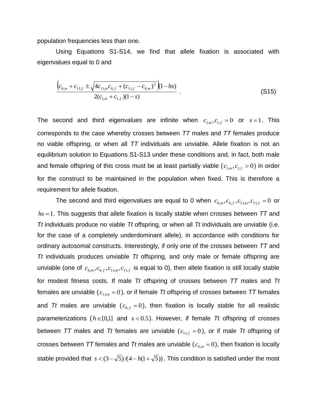population frequencies less than one.

Using Equations S1-S14, we find that allele fixation is associated with eigenvalues equal to 0 and

$$
\frac{\left(c_{6,m}+c_{11,f} \pm \sqrt{4c_{11,m}c_{6,f} + \left(c_{11,f} - c_{6,m}\right)^2}\right) \left(1-hs\right)}{2(c_{1,m} + c_{1,f})(1-s)} \tag{S15}
$$

The second and third eigenvalues are infinite when  $c_{1,m}$ ,  $c_{1,f} = 0$  or  $s = 1$ . This corresponds to the case whereby crosses between *TT* males and *TT* females produce no viable offspring, or when all *TT* individuals are unviable. Allele fixation is not an equilibrium solution to Equations S1-S13 under these conditions and, in fact, both male and female offspring of this cross must be at least partially viable ( $c_{1,m}, c_{1,f} > 0$ ) in order for the construct to be maintained in the population when fixed. This is therefore a requirement for allele fixation.

The second and third eigenvalues are equal to 0 when  $c_{6,m}$ ,  $c_{6,f}$ ,  $c_{11,m}$ ,  $c_{11,f} = 0$  or hs = 1. This suggests that allele fixation is locally stable when crosses between TT and *Tt* individuals produce no viable *Tt* offspring, or when all *Tt* individuals are unviable (i.e. for the case of a completely underdominant allele), in accordance with conditions for ordinary autosomal constructs. Interestingly, if only one of the crosses between *TT* and *Tt* individuals produces unviable *Tt* offspring, and only male or female offspring are unviable (one of  $c_{6,m}, c_{6,f}, c_{11,m}, c_{11,f}$  is equal to 0), then allele fixation is still locally stable for modest fitness costs. If male *Tt* offspring of crosses between *TT* males and *Tt* females are unviable ( $c_{11,m}$  = 0), or if female *Tt* offspring of crosses between *TT* females and Tt males are unviable  $(c_{6,f} = 0)$ , then fixation is locally stable for all realistic parameterizations  $(h \in [0,1]$  and  $s < 0.5$ ). However, if female *Tt* offspring of crosses between TT males and Tt females are unviable ( $c_{11,f} = 0$ ), or if male Tt offspring of crosses between TT females and Tt males are unviable ( $c_{6,m}$  = 0), then fixation is locally stable provided that  $s < (3 - \sqrt{5})/(4 - h(1 + \sqrt{5}))$ . This condition is satisfied under the most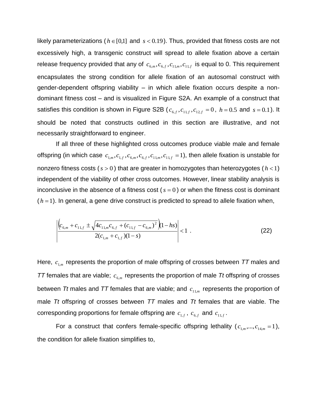likely parameterizations ( $h \in [0,1]$  and  $s < 0.19$ ). Thus, provided that fitness costs are not excessively high, a transgenic construct will spread to allele fixation above a certain release frequency provided that any of  $c_{6,m}, c_{6,f}, c_{11,m}, c_{11,f}$  is equal to 0. This requirement encapsulates the strong condition for allele fixation of an autosomal construct with gender-dependent offspring viability – in which allele fixation occurs despite a nondominant fitness cost – and is visualized in Figure S2A. An example of a construct that satisfies this condition is shown in Figure S2B ( $c_{6,f}$ , $c_{11,f}$ , $c_{12,f}$  = 0,  $h$  = 0.5 and  $s$  = 0.1). It should be noted that constructs outlined in this section are illustrative, and not necessarily straightforward to engineer.

If all three of these highlighted cross outcomes produce viable male and female offspring (in which case  $c_{1,m}, c_{1,f}, c_{6,m}, c_{6,f}, c_{11,m}, c_{11,f} = 1$ ), then allele fixation is unstable for nonzero fitness costs  $(s > 0)$  that are greater in homozygotes than heterozygotes  $(h < 1)$ independent of the viability of other cross outcomes. However, linear stability analysis is inconclusive in the absence of a fitness cost  $(s = 0)$  or when the fitness cost is dominant  $(h = 1)$ . In general, a gene drive construct is predicted to spread to allele fixation when,

$$
\left| \frac{\left( c_{6,m} + c_{11,f} \pm \sqrt{4c_{11,m}c_{6,f} + (c_{11,f} - c_{6,m})^2} \right) (1 - hs)}{2(c_{1,m} + c_{1,f}) (1 - s)} \right| < 1 \tag{22}
$$

Here,  $c_{1,m}$  represents the proportion of male offspring of crosses between TT males and *TT* females that are viable;  $c_{6,m}$  represents the proportion of male *Tt* offspring of crosses between Tt males and TT females that are viable; and  $c_{11,m}$  represents the proportion of male *Tt* offspring of crosses between *TT* males and *Tt* females that are viable. The corresponding proportions for female offspring are  $c_{1,f}$  ,  $c_{6,f}$  and  $c_{11,f}$  .

For a construct that confers female-specific offspring lethality  $(c_{1,m},...,c_{14,m}=1)$ , the condition for allele fixation simplifies to,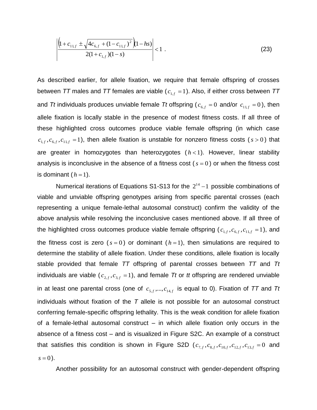$$
\left| \frac{\left(1 + c_{11,f} \pm \sqrt{4c_{6,f} + (1 - c_{11,f})^2} \right) (1 - hs)}{2(1 + c_{1,f})(1 - s)} \right| < 1 \tag{23}
$$

As described earlier, for allele fixation, we require that female offspring of crosses between *TT* males and *TT* females are viable ( $c_{1,f}^{\phantom{\dag}}=1$ ). Also, if either cross between *TT* and Tt individuals produces unviable female Tt offspring ( $c_{6,f} = 0$  and/or  $c_{11,f} = 0$ ), then allele fixation is locally stable in the presence of modest fitness costs. If all three of these highlighted cross outcomes produce viable female offspring (in which case  $c_{1,f}$ ,  $c_{6,f}$ ,  $c_{11,f}$  = 1), then allele fixation is unstable for nonzero fitness costs ( $s > 0$ ) that are greater in homozygotes than heterozygotes  $(h < 1)$ . However, linear stability analysis is inconclusive in the absence of a fitness cost  $(s = 0)$  or when the fitness cost is dominant  $(h = 1)$ .

Numerical iterations of Equations S1-S13 for the  $2^{14} - 1$  possible combinations of viable and unviable offspring genotypes arising from specific parental crosses (each representing a unique female-lethal autosomal construct) confirm the validity of the above analysis while resolving the inconclusive cases mentioned above. If all three of the highlighted cross outcomes produce viable female offspring ( $c_{1,f}$ , $c_{6,f}$ , $c_{11,f}$  = 1), and the fitness cost is zero  $(s = 0)$  or dominant  $(h = 1)$ , then simulations are required to determine the stability of allele fixation. Under these conditions, allele fixation is locally stable provided that female *TT* offspring of parental crosses between *TT* and *Tt* individuals are viable ( $c_{2,f}$ , $c_{3,f}$  = 1), and female Tt or tt offspring are rendered unviable in at least one parental cross (one of  $c_{s,f},...,c_{14,f}$  is equal to 0). Fixation of  ${\cal TT}$  and  ${\cal T}t$ individuals without fixation of the *T* allele is not possible for an autosomal construct conferring female-specific offspring lethality. This is the weak condition for allele fixation of a female-lethal autosomal construct – in which allele fixation only occurs in the absence of a fitness cost – and is visualized in Figure S2C. An example of a construct that satisfies this condition is shown in Figure S2D ( $c_{7,f}$ ,  $c_{8,f}$ ,  $c_{10,f}$ ,  $c_{12,f}$ ,  $c_{13,f}$  = 0 and  $s = 0$ ).

Another possibility for an autosomal construct with gender-dependent offspring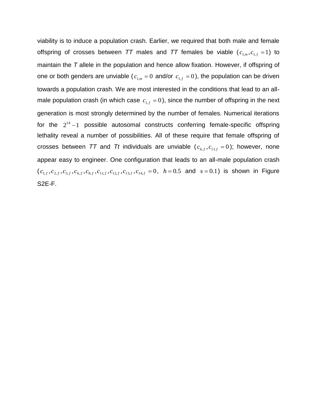viability is to induce a population crash. Earlier, we required that both male and female offspring of crosses between TT males and TT females be viable  $(c_{1,m}, c_{1,f} = 1)$  to maintain the *T* allele in the population and hence allow fixation. However, if offspring of one or both genders are unviable ( $c_{1,m} = 0$  and/or  $c_{1,f} = 0$ ), the population can be driven towards a population crash. We are most interested in the conditions that lead to an allmale population crash (in which case  $c_{1,f} = 0$ ), since the number of offspring in the next generation is most strongly determined by the number of females. Numerical iterations for the  $2^{14} - 1$  possible autosomal constructs conferring female-specific offspring lethality reveal a number of possibilities. All of these require that female offspring of crosses between TT and Tt individuals are unviable ( $c_{6,f}, c_{11,f} = 0$ ); however, none appear easy to engineer. One configuration that leads to an all-male population crash  $(c_{1,f}, c_{2,f}, c_{5,f}, c_{6,f}, c_{8,f}, c_{11,f}, c_{12,f}, c_{13,f}, c_{14,f} = 0, h = 0.5$  and  $s = 0.1$ ) is shown in Figure S2E-F.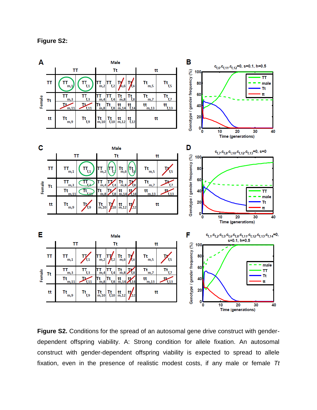**Figure S2:**



**Figure S2.** Conditions for the spread of an autosomal gene drive construct with genderdependent offspring viability. A: Strong condition for allele fixation. An autosomal construct with gender-dependent offspring viability is expected to spread to allele fixation, even in the presence of realistic modest costs, if any male or female *Tt*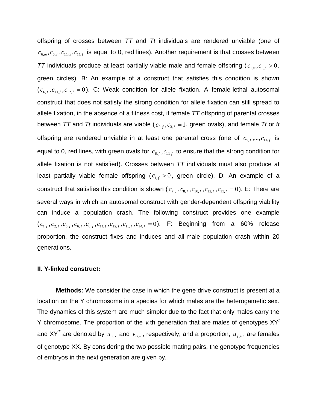offspring of crosses between *TT* and *Tt* individuals are rendered unviable (one of  $c_{6,m}, c_{6,f}, c_{11,m}, c_{11,f}$  is equal to 0, red lines). Another requirement is that crosses between *TT* individuals produce at least partially viable male and female offspring ( $c_{1,m}$ ,  $c_{1,f}$  > 0, green circles). B: An example of a construct that satisfies this condition is shown  $(c_{6,f}, c_{11,f}, c_{12,f} = 0)$ . C: Weak condition for allele fixation. A female-lethal autosomal construct that does not satisfy the strong condition for allele fixation can still spread to allele fixation, in the absence of a fitness cost, if female *TT* offspring of parental crosses between TT and Tt individuals are viable ( $c_{2,f}, c_{3,f} = 1$ , green ovals), and female Tt or tt offspring are rendered unviable in at least one parental cross (one of  $c_{s,f},...,c_{14,f}$  is equal to 0, red lines, with green ovals for  $\,c_{6,f}, c_{11,f} \,$  to ensure that the strong condition for allele fixation is not satisfied). Crosses between *TT* individuals must also produce at least partially viable female offspring  $(c_{1,f} > 0,$  green circle). D: An example of a construct that satisfies this condition is shown ( $c_{7,f}, c_{8,f}, c_{10,f}, c_{12,f}, c_{13,f} = 0$ ). E: There are several ways in which an autosomal construct with gender-dependent offspring viability can induce a population crash. The following construct provides one example  $(c_{1,f}, c_{2,f}, c_{5,f}, c_{6,f}, c_{8,f}, c_{11,f}, c_{12,f}, c_{13,f}, c_{14,f} = 0)$ . F: Beginning from a 60% release proportion, the construct fixes and induces and all-male population crash within 20 generations.

#### **II. Y-linked construct:**

**Methods:** We consider the case in which the gene drive construct is present at a location on the Y chromosome in a species for which males are the heterogametic sex. The dynamics of this system are much simpler due to the fact that only males carry the Y chromosome. The proportion of the  $k$  th generation that are males of genotypes  $XY<sup>t</sup>$ and XY<sup>T</sup> are denoted by  $u_{m,k}$  and  $v_{m,k}$ , respectively; and a proportion,  $u_{f,k}$ , are females of genotype XX. By considering the two possible mating pairs, the genotype frequencies of embryos in the next generation are given by,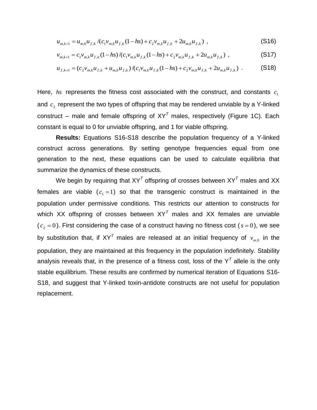$$
u_{m,k+1} = u_{m,k} u_{f,k} / (c_1 v_{m,k} u_{f,k} (1 - hs) + c_2 v_{m,k} u_{f,k} + 2 u_{m,k} u_{f,k}) ,
$$
\n(S16)

$$
v_{m,k+1} = c_1 v_{m,k} u_{f,k} (1 - hs) / (c_1 v_{m,k} u_{f,k} (1 - hs) + c_2 v_{m,k} u_{f,k} + 2 u_{m,k} u_{f,k}) ,
$$
\n(S17)

$$
u_{f,k+1} = (c_2 v_{m,k} u_{f,k} + u_{m,k} u_{f,k})/(c_1 v_{m,k} u_{f,k} (1 - hs) + c_2 v_{m,k} u_{f,k} + 2 u_{m,k} u_{f,k})
$$
 (S18)

Here,  $hs$  represents the fitness cost associated with the construct, and constants  $c_1$ and  $c_2$  represent the two types of offspring that may be rendered unviable by a Y-linked construct – male and female offspring of  $XY<sup>T</sup>$  males, respectively (Figure 1C). Each constant is equal to 0 for unviable offspring, and 1 for viable offspring.

**Results:** Equations S16-S18 describe the population frequency of a Y-linked construct across generations. By setting genotype frequencies equal from one generation to the next, these equations can be used to calculate equilibria that summarize the dynamics of these constructs.

We begin by requiring that XY*<sup>T</sup>* offspring of crosses between XY*<sup>T</sup>* males and XX females are viable  $(c_1 = 1)$  so that the transgenic construct is maintained in the population under permissive conditions. This restricts our attention to constructs for which XX offspring of crosses between XY*<sup>T</sup>* males and XX females are unviable  $(c_2 = 0)$ . First considering the case of a construct having no fitness cost ( $s = 0$ ), we see by substitution that, if XY<sup>T</sup> males are released at an initial frequency of  $v_{_{m,0}}$  in the population, they are maintained at this frequency in the population indefinitely. Stability analysis reveals that, in the presence of a fitness cost, loss of the Y*<sup>T</sup>* allele is the only stable equilibrium. These results are confirmed by numerical iteration of Equations S16- S18, and suggest that Y-linked toxin-antidote constructs are not useful for population replacement.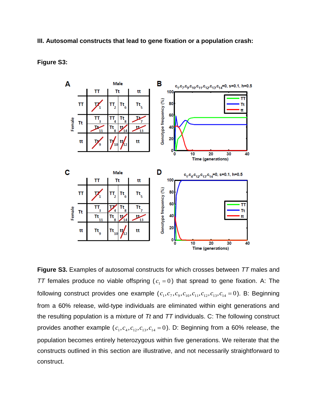## **III. Autosomal constructs that lead to gene fixation or a population crash:**



### **Figure S3:**

**Figure S3.** Examples of autosomal constructs for which crosses between *TT* males and TT females produce no viable offspring  $(c_1 = 0)$  that spread to gene fixation. A: The following construct provides one example  $(c_1, c_7, c_9, c_{10}, c_{11}, c_{12}, c_{13}, c_{14} = 0)$ . B: Beginning from a 60% release, wild-type individuals are eliminated within eight generations and the resulting population is a mixture of *Tt* and *TT* individuals. C: The following construct provides another example  $(c_1, c_4, c_{12}, c_{13}, c_{14} = 0)$ . D: Beginning from a 60% release, the population becomes entirely heterozygous within five generations. We reiterate that the constructs outlined in this section are illustrative, and not necessarily straightforward to construct.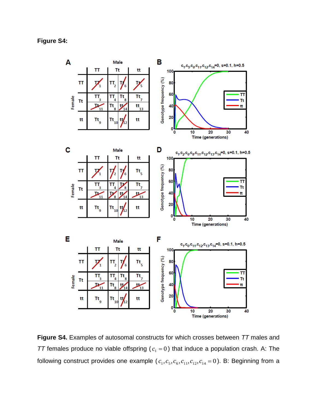

**Figure S4.** Examples of autosomal constructs for which crosses between *TT* males and TT females produce no viable offspring ( $c_1 = 0$ ) that induce a population crash. A: The following construct provides one example ( $c_1, c_5, c_6, c_{11}, c_{12}, c_{14} = 0$ ). B: Beginning from a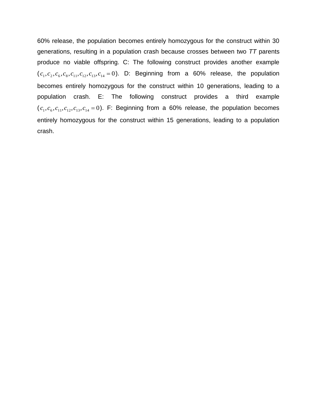60% release, the population becomes entirely homozygous for the construct within 30 generations, resulting in a population crash because crosses between two *TT* parents produce no viable offspring. C: The following construct provides another example  $(c_1, c_2, c_6, c_8, c_{11}, c_{12}, c_{13}, c_{14} = 0)$ . D: Beginning from a 60% release, the population becomes entirely homozygous for the construct within 10 generations, leading to a population crash. E: The following construct provides a third example  $(c_1, c_6, c_{11}, c_{12}, c_{13}, c_{14} = 0)$ . F: Beginning from a 60% release, the population becomes entirely homozygous for the construct within 15 generations, leading to a population crash.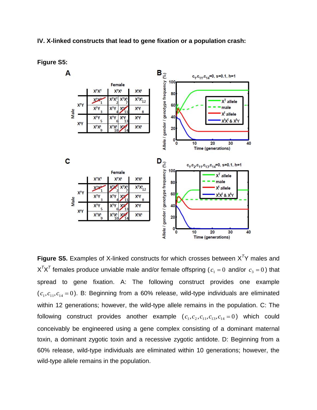## **IV. X-linked constructs that lead to gene fixation or a population crash:**



#### **Figure S5:**

**Figure S5.** Examples of X-linked constructs for which crosses between X*<sup>T</sup>*Y males and  $X^{\mathcal{T}}X^{\mathcal{T}}$  females produce unviable male and/or female offspring (  $c_1=0$  and/or  $\,c_3=0$  ) that spread to gene fixation. A: The following construct provides one example  $(c_1,c_{11},c_{14}=0)$ . B: Beginning from a 60% release, wild-type individuals are eliminated within 12 generations; however, the wild-type allele remains in the population. C: The following construct provides another example  $(c_1, c_2, c_{11}, c_{13}, c_{14} = 0)$  which could conceivably be engineered using a gene complex consisting of a dominant maternal toxin, a dominant zygotic toxin and a recessive zygotic antidote. D: Beginning from a 60% release, wild-type individuals are eliminated within 10 generations; however, the wild-type allele remains in the population.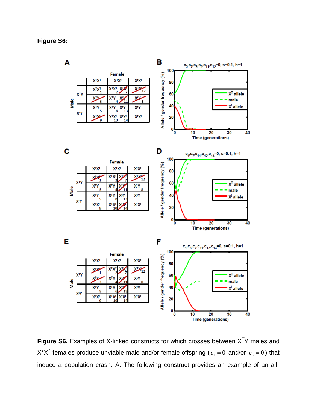B A  $c_3c_7c_8c_9c_{11}c_{12} = 0$ , s=0.1, h=1 100 Female Allele / gender frequency (%) **XTXT XTXt XtXt** 80  $X^T X$ <sub>12</sub> **XTXT XTXT** X)  $X^T$  allele **XTY** 60 **XTY** X<sup>Τ</sup>Υ **XLY** XV Male male ່ຂ 3 40  $X<sup>t</sup>$  allele **XTY** X<sup>Τ</sup>Υ χιγ **XTY** χιγ **XTYL**  $X^{\mathsf{T}}X^{\mathsf{t}}_{10}$  $X^t X^t$ **XtXt** 20  $\mathbf{0}$ 10 20 30 40 **Time (generations)**  $\mathbf c$ D  $c_1^{\phantom{1}}, c_7^{\phantom{1}}, c_{11}^{\phantom{1}}, c_{12}^{\phantom{1}}, c_{14}^{\phantom{1}}$ =0, s=0.1, h=1 100 Female Allele / gender frequency (%) **ХТХТ XTXt XtXt** 80  $X^T X$ <sub>12</sub> XTXT ХV **XIX XTY** 60  $X^T$  allele **XTY** XТY X<sup>0</sup> χτγ Male 11 male  $X^TY$ <sub>5</sub> **X<sup>t</sup>Y XTY** χτγ 40  $X<sup>t</sup>$  allele ī χtγ  $\frac{\mathsf{X}^\mathsf{T} \mathsf{X}^\mathsf{t}}{10}$ XTX<sup>t</sup><sub>9</sub>  $X_1$ **XtXt** 20  $\circ$ <sub>o</sub> 30  $10$  $\overline{20}$ 40 **Time (generations)** E F  $c_1, c_3, c_7, c_{11}, c_{12}, c_{13} = 0, s = 0.1, h = 1$ 100 Female Allele / gender frequency (%) **ХТХТ XTXt XtXt** 80  $X^T X$ <sub>12</sub> **XIX** хy ĭ **XTY** 60  $X^T$  allele **XTY** χ<sup>τ</sup>Υ XΤY **X<sup>D</sup>** Male male **XTY X<sup>T</sup>Y X<sup>t</sup>Y** 40 **X<sup>D</sup>**  $X<sup>t</sup>$  allele 1 χtγ  $X^{T}X^{t}$   $X^{t}X^{t}$ <br>10 14  $X^TX^t$ <sup>Q</sup> **XtXt** 20  $\overline{\phantom{a}}^0$  $10$ 20 30 40

**Figure S6.** Examples of X-linked constructs for which crosses between X*<sup>T</sup>*Y males and  $X^{\mathcal{T}}X^{\mathcal{T}}$  females produce unviable male and/or female offspring (  $c_1=0$  and/or  $\,c_3=0$  ) that induce a population crash. A: The following construct provides an example of an all-

Time (generations)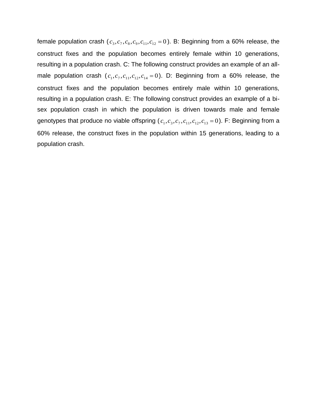female population crash ( $c_3, c_7, c_8, c_9, c_{11}, c_{12} = 0$ ). B: Beginning from a 60% release, the construct fixes and the population becomes entirely female within 10 generations, resulting in a population crash. C: The following construct provides an example of an allmale population crash  $(c_1, c_7, c_{11}, c_{12}, c_{14} = 0)$ . D: Beginning from a 60% release, the construct fixes and the population becomes entirely male within 10 generations, resulting in a population crash. E: The following construct provides an example of a bisex population crash in which the population is driven towards male and female genotypes that produce no viable offspring ( $c_1, c_3, c_7, c_{11}, c_{12}, c_{13} = 0$ ). F: Beginning from a 60% release, the construct fixes in the population within 15 generations, leading to a population crash.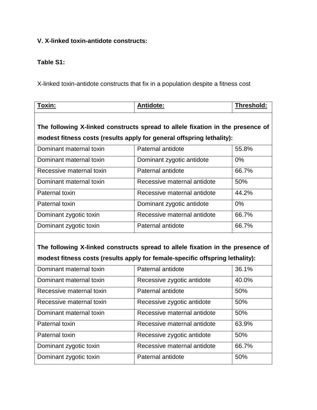# **V. X-linked toxin-antidote constructs:**

# **Table S1:**

X-linked toxin-antidote constructs that fix in a population despite a fitness cost

| Toxin:                                                                                                                                                          | Antidote:                   | Threshold: |  |  |  |
|-----------------------------------------------------------------------------------------------------------------------------------------------------------------|-----------------------------|------------|--|--|--|
| The following X-linked constructs spread to allele fixation in the presence of<br>modest fitness costs (results apply for general offspring lethality):         |                             |            |  |  |  |
| Dominant maternal toxin                                                                                                                                         | Paternal antidote           | 55.8%      |  |  |  |
| Dominant maternal toxin                                                                                                                                         | Dominant zygotic antidote   | 0%         |  |  |  |
| Recessive maternal toxin                                                                                                                                        | Paternal antidote           | 66.7%      |  |  |  |
| Dominant maternal toxin                                                                                                                                         | Recessive maternal antidote | 50%        |  |  |  |
| Paternal toxin                                                                                                                                                  | Recessive maternal antidote | 44.2%      |  |  |  |
| Paternal toxin                                                                                                                                                  | Dominant zygotic antidote   | 0%         |  |  |  |
| Dominant zygotic toxin                                                                                                                                          | Recessive maternal antidote | 66.7%      |  |  |  |
| Dominant zygotic toxin                                                                                                                                          | Paternal antidote           | 66.7%      |  |  |  |
| The following X-linked constructs spread to allele fixation in the presence of<br>modest fitness costs (results apply for female-specific offspring lethality): |                             |            |  |  |  |
| Dominant maternal toxin                                                                                                                                         | Paternal antidote           | 36.1%      |  |  |  |
| Dominant maternal toxin                                                                                                                                         | Recessive zygotic antidote  | 40.0%      |  |  |  |
| Recessive maternal toxin                                                                                                                                        | Paternal antidote           | 50%        |  |  |  |
| Recessive maternal toxin                                                                                                                                        | Recessive zygotic antidote  | 50%        |  |  |  |
| Dominant maternal toxin                                                                                                                                         | Recessive maternal antidote | 50%        |  |  |  |
| Paternal toxin                                                                                                                                                  | Recessive maternal antidote | 63.9%      |  |  |  |
| Paternal toxin                                                                                                                                                  | Recessive zygotic antidote  | 50%        |  |  |  |

Dominant zygotic toxin Recessive maternal antidote 66.7%

Dominant zygotic toxin <br>
Paternal antidote 50%